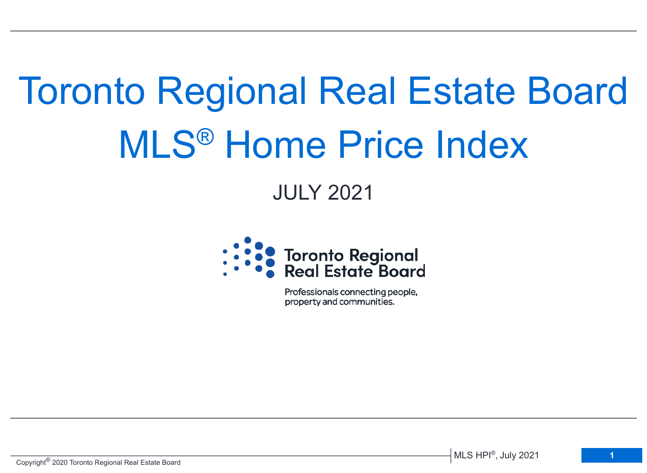# Toronto Regional Real Estate Board MLS® Home Price Index

# JULY 2021



Professionals connecting people, property and communities.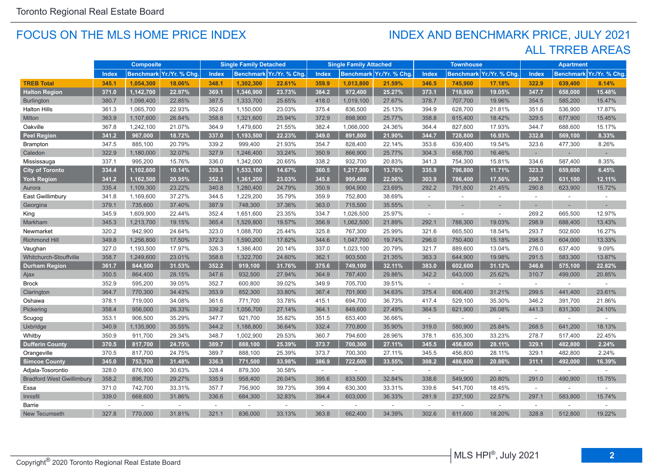#### FOCUS ON THE MLS HOME PRICE INDEX

## ALL TRREB AREAS INDEX AND BENCHMARK PRICE, JULY 2021

|                                  | <b>Composite</b> |           |                          | <b>Single Family Detached</b> |           |                         | <b>Single Family Attached</b> |           |                          | <b>Townhouse</b> |                          |                          | <b>Apartment</b> |         |                         |
|----------------------------------|------------------|-----------|--------------------------|-------------------------------|-----------|-------------------------|-------------------------------|-----------|--------------------------|------------------|--------------------------|--------------------------|------------------|---------|-------------------------|
|                                  | <b>Index</b>     |           | Benchmark Yr./Yr. % Chg. | <b>Index</b>                  |           | Benchmark Yr./Yr. % Chg | <b>Index</b>                  |           | Benchmark Yr./Yr. % Chg. | <b>Index</b>     |                          | Benchmark Yr./Yr. % Chg. | <b>Index</b>     |         | Benchmark Yr./Yr. % Chg |
| <b>TREB Total</b>                | 345.1            | 1,054,300 | 18.06%                   | 348.1                         | 1,302,300 | 22.61%                  | 359.9                         | 1,013,800 | 21.59%                   | 346.5            | 745,900                  | 17.18%                   | 322.9            | 639,400 | 8.14%                   |
| <b>Halton Region</b>             | 371.0            | 1,142,700 | 22.97%                   | 369.1                         | 1,346,900 | 23.73%                  | 384.2                         | 972,400   | 25.27%                   | 373.1            | 718,900                  | 19.05%                   | 347.7            | 658,000 | 15.48%                  |
| <b>Burlington</b>                | 380.7            | 1,098,400 | 22.85%                   | 387.5                         | 1,333,700 | 25.65%                  | 418.0                         | 1,019,100 | 27.67%                   | 378.7            | 707,700                  | 19.96%                   | 354.5            | 585,200 | 15.47%                  |
| <b>Halton Hills</b>              | 361.3            | 1,065,700 | 22.93%                   | 352.6                         | 1,150,000 | 23.03%                  | 375.4                         | 836,500   | 25.13%                   | 394.9            | 628,700                  | 21.81%                   | 351.6            | 536,900 | 17.87%                  |
| Milton                           | 363.9            | 1,107,600 | 26.84%                   | 358.8                         | 1,321,600 | 25.94%                  | 372.9                         | 898,900   | 25.77%                   | 358.8            | 615,400                  | 18.42%                   | 329.5            | 677,900 | 15.45%                  |
| Oakville                         | 367.8            | 1,242,100 | 21.07%                   | 364.9                         | 1,479,600 | 21.55%                  | 382.4                         | 1,066,000 | 24.36%                   | 364.4            | 827,600                  | 17.93%                   | 344.7            | 688,600 | 15.17%                  |
| <b>Peel Region</b>               | 341.2            | 967,000   | 18.72%                   | 337.0                         | 1,193,500 | 22.23%                  | 349.0                         | 891,800   | 21.90%                   | 344.7            | 728,800                  | 16.93%                   | 332.8            | 569,100 | 8.33%                   |
| <b>Brampton</b>                  | 347.5            | 885,100   | 20.79%                   | 339.2                         | 999,400   | 21.93%                  | 354.7                         | 828,400   | 22.14%                   | 353.6            | 639,400                  | 19.54%                   | 323.6            | 477,300 | 8.26%                   |
| Caledon                          | 322.9            | 1,180,000 | 32.07%                   | 327.9                         | 1,246,400 | 33.24%                  | 350.9                         | 866,900   | 25.77%                   | 304.3            | 658,700                  | 16.46%                   | $\sim$           |         |                         |
| Mississauga                      | 337.1            | 995,200   | 15.76%                   | 336.0                         | 1,342,000 | 20.65%                  | 338.2                         | 932,700   | 20.83%                   | 341.3            | 754,300                  | 15.81%                   | 334.6            | 587,400 | 8.35%                   |
| <b>City of Toronto</b>           | 334.4            | 1,102,600 | 10.14%                   | 339.3                         | 1,533,100 | 14.67%                  | 360.5                         | 1,217,900 | 13.76%                   | 335.9            | 796,800                  | 11.71%                   | 323.3            | 659,600 | 6.45%                   |
| <b>York Region</b>               | 341.2            | 1,162,500 | 20.95%                   | 352.1                         | 1,361,200 | 23.03%                  | 345.8                         | 999,400   | 22.06%                   | 303.9            | 786,400                  | 17.56%                   | 290.7            | 631,100 | 12.11%                  |
| Aurora                           | 335.4            | 1,109,300 | 23.22%                   | 340.8                         | 1,280,400 | 24.79%                  | 350.9                         | 904,900   | 23.69%                   | 292.2            | 791,600                  | 21.45%                   | 290.8            | 623,900 | 15.72%                  |
| East Gwillimbury                 | 341.8            | 1,169,600 | 37.27%                   | 344.5                         | 1,229,200 | 35.79%                  | 359.9                         | 752,800   | 38.69%                   | $\sim$           | ÷.                       | $\mathbf{r}$             | $\mathcal{L}$    |         | $\sim$                  |
| Georgina                         | 379.1            | 735,600   | 37.40%                   | 387.9                         | 748,300   | 37.36%                  | 363.0                         | 715,500   | 35.55%                   |                  |                          |                          |                  |         |                         |
| King                             | 345.9            | 1,609,900 | 22.44%                   | 352.4                         | 1,651,600 | 23.35%                  | 334.7                         | 1,026,500 | 25.97%                   | $\sim$           | ×.                       | $\sim$                   | 269.2            | 665,500 | 12.97%                  |
| Markham                          | 345.3            | 1,213,700 | 19.15%                   | 365.4                         | 1,529,800 | 19.57%                  | 356.9                         | 1,062,500 | 21.89%                   | 292.1            | 788,300                  | 19.03%                   | 298.9            | 688,400 | 13.43%                  |
| Newmarket                        | 320.2            | 942,900   | 24.64%                   | 323.0                         | 1,088,700 | 25.44%                  | 325.8                         | 767,300   | 25.99%                   | 321.6            | 665,500                  | 18.54%                   | 293.7            | 502,600 | 16.27%                  |
| <b>Richmond Hill</b>             | 349.8            | 1.256.800 | 17.50%                   | 372.3                         | 1,590,200 | 17.82%                  | 344.6                         | 1,047,700 | 19.74%                   | 296.0            | 750,400                  | 15.18%                   | 298.5            | 604,000 | 13.33%                  |
| Vaughan                          | 327.0            | 1,193,500 | 17.97%                   | 326.3                         | 1,386,400 | 20.14%                  | 337.0                         | 1,023,100 | 20.79%                   | 321.7            | 889,600                  | 13.04%                   | 276.0            | 637,400 | 9.09%                   |
| Whitchurch-Stouffville           | 358.7            | 1,249,600 | 23.01%                   | 358.6                         | 1,322,700 | 24.60%                  | 362.1                         | 903,500   | 21.35%                   | 363.3            | 644,900                  | 19.98%                   | 291.5            | 583,300 | 13.87%                  |
| <b>Durham Region</b>             | 361.7            | 844,500   | 31.53%                   | 352.2                         | 919,100   | 31.76%                  | 375.6                         | 749,100   | 32.11%                   | 383.0            | 602,600                  | 31.12%                   | 346.6            | 575,100 | 22.82%                  |
| Ajax                             | 350.5            | 864,400   | 28.15%                   | 347.6                         | 932,500   | 27.94%                  | 364.9                         | 787,400   | 29.86%                   | 342.2            | 643,000                  | 25.62%                   | 310.7            | 499,000 | 20.85%                  |
| <b>Brock</b>                     | 352.9            | 595,200   | 39.05%                   | 352.7                         | 600,800   | 39.02%                  | 349.9                         | 705,700   | 39.51%                   | $\sim$           | $\omega$                 | $\sim$                   | $\sim$           | $\sim$  | $\sim$                  |
| Clarington                       | 364.7            | 770,300   | 34.43%                   | 353.9                         | 852,300   | 33.80%                  | 367.4                         | 701,900   | 34.63%                   | 375.4            | 606,400                  | 31.21%                   | 299.5            | 441,400 | 23.61%                  |
| Oshawa                           | 378.1            | 719,000   | 34.08%                   | 361.6                         | 771,700   | 33.78%                  | 415.1                         | 694,700   | 36.73%                   | 417.4            | 529,100                  | 35.30%                   | 346.2            | 391,700 | 21.86%                  |
| Pickering                        | 358.4            | 956,000   | 26.33%                   | 339.2                         | 1,056,700 | 27.14%                  | 364.1                         | 849,600   | 27.49%                   | 364.5            | 621,900                  | 26.08%                   | 441.3            | 831,300 | 24.10%                  |
| Scugog                           | 353.1            | 906,500   | 35.29%                   | 347.7                         | 921,700   | 35.82%                  | 351.5                         | 653,400   | 36.66%                   | $\omega$         | $\overline{\phantom{a}}$ | $\sim$                   | $\sim$           |         |                         |
| Uxbridge                         | 340.9            | 1,135,900 | 35.55%                   | 344.2                         | 1,188,800 | 36.64%                  | 332.4                         | 770,800   | 35.90%                   | 319.0            | 580,900                  | 25.84%                   | 268.5            | 641,200 | 18.13%                  |
| Whitby                           | 350.9            | 911,700   | 29.34%                   | 348.7                         | 1,002,900 | 29.53%                  | 360.7                         | 794,600   | 28.96%                   | 378.1            | 635,300                  | 33.23%                   | 278.7            | 517,400 | 22.45%                  |
| <b>Dufferin County</b>           | 370.5            | 817,700   | 24.75%                   | 389.7                         | 888,100   | 25.39%                  | 373.7                         | 700,300   | 27.11%                   | 345.5            | 456,800                  | 28.11%                   | 329.1            | 482,800 | 2.24%                   |
| Orangeville                      | 370.5            | 817,700   | 24.75%                   | 389.7                         | 888,100   | 25.39%                  | 373.7                         | 700,300   | 27.11%                   | 345.5            | 456,800                  | 28.11%                   | 329.1            | 482,800 | 2.24%                   |
| <b>Simcoe County</b>             | 345.0            | 753,700   | 31.48%                   | 336.3                         | 771,500   | 33.98%                  | 386.9                         | 722,600   | 33.55%                   | 308.2            | 486,600                  | 20.86%                   | 311.1            | 492,000 | 16.39%                  |
| Adjala-Tosorontio                | 328.0            | 876,900   | 30.63%                   | 328.4                         | 879,300   | 30.58%                  | $\sim$                        | $\sim$    | $\sim$                   | $\sim$           | $\sim$                   | $\sim$                   | $\sim$           |         |                         |
| <b>Bradford West Gwillimbury</b> | 358.2            | 896,700   | 29.27%                   | 335.9                         | 958,400   | 26.04%                  | 395.6                         | 833,500   | 32.84%                   | 338.6            | 549,900                  | 20.80%                   | 291.0            | 490,900 | 15.75%                  |
| Essa                             | 371.0            | 742,700   | 33.31%                   | 357.7                         | 756,900   | 39.73%                  | 399.4                         | 630,300   | 33.31%                   | 339.6            | 541,700                  | 18.45%                   | $\sim$           |         |                         |
| Innisfil                         | 339.0            | 668,600   | 31.86%                   | 336.6                         | 684,300   | 32.83%                  | 394.4                         | 603,000   | 36.33%                   | 281.9            | 237,100                  | 22.57%                   | 297.1            | 583,800 | 15.74%                  |
| Barrie                           | $\sim$           | $\sim$    | ÷                        | ÷.                            |           | $\sim$                  | $\sim$                        | ÷.        | $\sim$                   | $\sim$           | $\sim$                   | $\sim$                   | $\sim$           |         |                         |
| <b>New Tecumseth</b>             | 327.8            | 770,000   | 31.81%                   | 321.1                         | 836,000   | 33.13%                  | 363.8                         | 662,400   | 34.39%                   | 302.6            | 611,600                  | 18.20%                   | 328.8            | 512,800 | 19.22%                  |